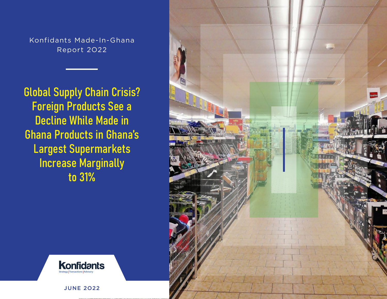Konfidants Made-In-Ghana Report 2O22

Global Supply Chain Crisis? Foreign Products See a Decline While Made in Ghana Products in Ghana's Largest Supermarkets Increase Marginally to 31%





JUNE 2O22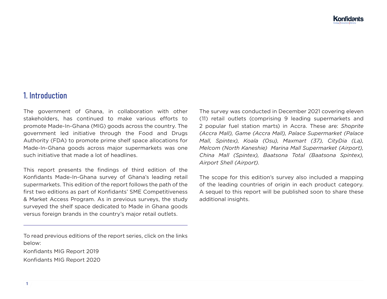## 1. Introduction

The government of Ghana, in collaboration with other stakeholders, has continued to make various efforts to promote Made-In-Ghana (MIG) goods across the country. The government led initiative through the Food and Drugs Authority (FDA) to promote prime shelf space allocations for Made-In-Ghana goods across major supermarkets was one such initiative that made a lot of headlines.

This report presents the findings of third edition of the Konfidants Made-In-Ghana survey of Ghana's leading retail supermarkets. This edition of the report follows the path of the first two editions as part of Konfidants' SME Competitiveness & Market Access Program. As in previous surveys, the study surveyed the shelf space dedicated to Made in Ghana goods versus foreign brands in the country's major retail outlets.

To read previous editions of the report series, click on the links below:

Konfidants MIG Report 2019 Konfidants MIG Report 2020 The survey was conducted in December 2021 covering eleven (11) retail outlets (comprising 9 leading supermarkets and 2 popular fuel station marts) in Accra. These are: *Shoprite (Accra Mall), Game (Accra Mall), Palace Supermarket (Palace Mall, Spintex), Koala (Osu), Maxmart (37), CityDia (La), Melcom (North Kaneshie) Marina Mall Supermarket (Airport), China Mall (Spintex), Baatsona Total (Baatsona Spintex), Airport Shell (Airport)*.

The scope for this edition's survey also included a mapping of the leading countries of origin in each product category. A sequel to this report will be published soon to share these additional insights.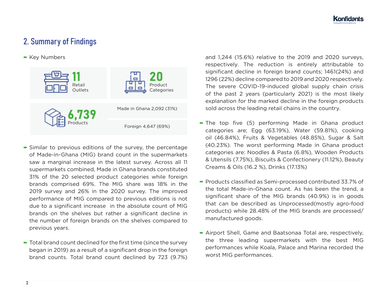# 2. Summary of Findings

• Key Numbers



- Similar to previous editions of the survey, the percentage of Made-in-Ghana (MIG) brand count in the supermarkets saw a marginal increase in the latest survey. Across all 11 supermarkets combined, Made in Ghana brands constituted 31% of the 20 selected product categories while foreign brands comprised 69%. The MIG share was 18% in the 2019 survey and 26% in the 2020 survey. The improved performance of MIG compared to previous editions is not due to a significant increase in the absolute count of MIG brands on the shelves but rather a significant decline in the number of foreign brands on the shelves compared to previous years.
- Total brand count declined for the first time (since the survey began in 2019) as a result of a significant drop in the foreign brand counts. Total brand count declined by 723 (9.7%)

and 1,244 (15.6%) relative to the 2019 and 2020 surveys, respectively. The reduction is entirely attributable to significant decline in foreign brand counts; 1461(24%) and 1296 (22%) decline compared to 2019 and 2020 respectively. The severe COVID-19-induced global supply chain crisis of the past 2 years (particularly 2021) is the most likely explanation for the marked decline in the foreign products sold across the leading retail chains in the country.

- The top five (5) performing Made in Ghana product categories are; Egg (63.19%), Water (59.81%), cooking oil (46.84%), Fruits & Vegetables (48.85%), Sugar & Salt (40.23%). The worst performing Made in Ghana product categories are: Noodles & Pasta (6.8%), Wooden Products & Utensils (7.75%), Biscuits & Confectionery (11.12%), Beauty Creams & Oils (16.2 %), Drinks (17.13%)
- Products classified as Semi-processed contributed 33.7% of the total Made-in-Ghana count. As has been the trend, a significant share of the MIG brands (40.9%) is in goods that can be described as Unprocessed(mostly agro-food products) while 28.48% of the MIG brands are processed/ manufactured goods.
- Airport Shell, Game and Baatsonaa Total are, respectively, the three leading supermarkets with the best MIG performances while Koala, Palace and Marina recorded the worst MIG performances.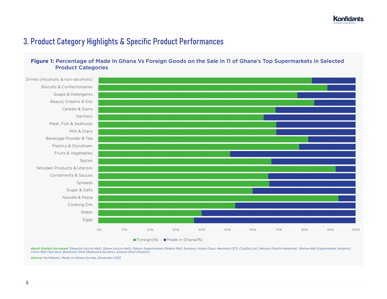# 3. Product Category Highlights & Specific Product Performances

#### **Figure 1:** Percentage of Made In Ghana Vs Foreign Goods on the Sale in 11 of Ghana's Top Supermarkets in Selected Product Categories



*Retail Outlets Surveyed: Shoprite (Accra Mall), Game (Accra Mall), Palace Supermarket (Palace Mall, Spintex), Koala (Osu), Maxmart (37), CityDia (La), Melcom (North Kaneshie) Marina Mall Supermarket (Airport), China Mall (Spintex), Baatsona Total (Baatsona Spintex), Airport Shell (Airport)*

*Source: Konfidants, Made-In-Ghana Survey, December 2021*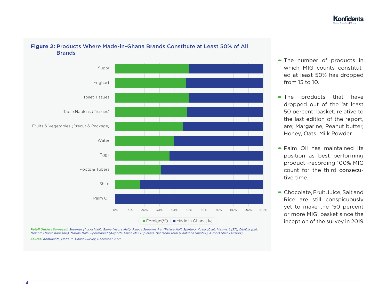# Sugar Yoghurt Toilet Tissues Table Napkins (Tissues) Fruits & Vegetables (Precut & Package) Water Eggs Roots & Tubers Shito Palm Oil 0% 10% 20% 30% 40% 50% 60% 70% 80% 90% 100%  $\blacksquare$  Foreign(%)  $\blacksquare$  Made in Ghana(%)

### **Figure 2:** Products Where Made-in-Ghana Brands Constitute at Least 50% of All **Brands**

*Retail Outlets Surveyed: Shoprite (Accra Mall), Game (Accra Mall), Palace Supermarket (Palace Mall, Spintex), Koala (Osu), Maxmart (37), CityDia (La), Melcom (North Kaneshie) Marina Mall Supermarket (Airport), China Mall (Spintex), Baatsona Total (Baatsona Spintex), Airport Shell (Airport)*

*Source: Konfidants, Made-In-Ghana Survey, December 2021*

- The number of products in which MIG counts constituted at least 50% has dropped from 15 to 10.
- The products that have dropped out of the 'at least 50 percent' basket, relative to the last edition of the report, are; Margarine, Peanut butter, Honey, Oats, Milk Powder.
- Palm Oil has maintained its position as best performing product -recording 100% MIG count for the third consecutive time.
- Chocolate, Fruit Juice, Salt and Rice are still conspicuously yet to make the '50 percent or more MIG' basket since the inception of the survey in 2019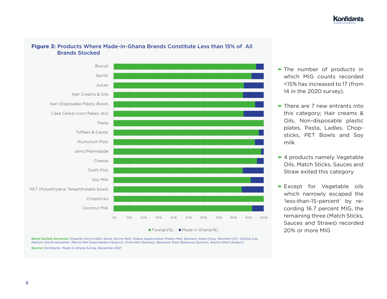

#### **Figure 3:** Products Where Made-in-Ghana Brands Constitute Less than 15% of All Brands Stocked

*Retail Outlets Surveyed: Shoprite (Accra Mall), Game (Accra Mall), Palace Supermarket (Palace Mall, Spintex), Koala (Osu), Maxmart (37), CityDia (La), Melcom (North Kaneshie) Marina Mall Supermarket (Airport), China Mall (Spintex), Baatsona Total (Baatsona Spintex), Airport Shell (Airport)*

*Source: Konfidants, Made-In-Ghana Survey, December 2021*

- The number of products in which MIG counts recorded <15% has increased to 17 (from 14 in the 2020 survey).
- There are 7 new entrants into this category; Hair creams & Oils, Non-disposable plastic plates, Pasta, Ladles, Chopsticks, PET Bowls and Soy milk
- 4 products namely Vegetable Oils, Match Sticks, Sauces and Straw exited this category
- Except for Vegetable oils which narrowly escaped the 'less-than-15-percent' by recording 16.7 percent MIG, the remaining three (Match Sticks, Sauces and Straws) recorded 20% or more MIG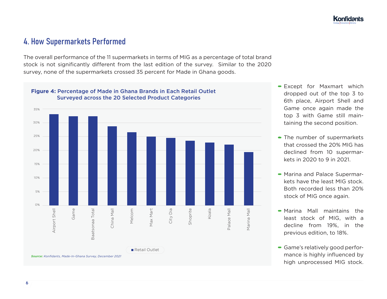# 4. How Supermarkets Performed

The overall performance of the 11 supermarkets in terms of MIG as a percentage of total brand stock is not significantly different from the last edition of the survey. Similar to the 2020 survey, none of the supermarkets crossed 35 percent for Made in Ghana goods.



- Except for Maxmart which dropped out of the top 3 to 6th place, Airport Shell and Game once again made the top 3 with Game still maintaining the second position.
- The number of supermarkets that crossed the 20% MIG has declined from 10 supermarkets in 2020 to 9 in 2021.
- Marina and Palace Supermarkets have the least MIG stock. Both recorded less than 20% stock of MIG once again.
- Marina Mall maintains the least stock of MIG, with a decline from 19%, in the previous edition, to 18%.
- Game's relatively good performance is highly influenced by high unprocessed MIG stock.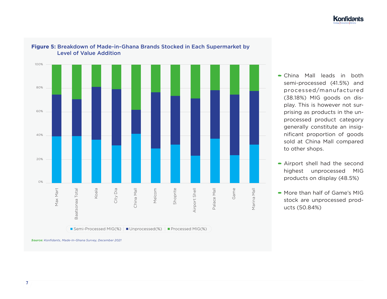

#### **Figure 5:** Breakdown of Made-in-Ghana Brands Stocked in Each Supermarket by Level of Value Addition

*Source: Konfidants, Made-In-Ghana Survey, December 2021*

• China Mall leads in both semi-processed (41.5%) and processed/manufactured (38.18%) MIG goods on display. This is however not surprising as products in the unprocessed product category generally constitute an insignificant proportion of goods sold at China Mall compared to other shops.

- Airport shell had the second highest unprocessed MIG products on display (48.5%)
- More than half of Game's MIG stock are unprocessed products (50.84%)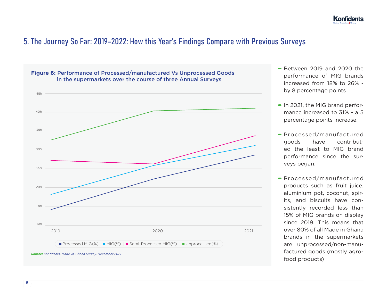# 5. The Journey So Far: 2019–2022: How this Year's Findings Compare with Previous Surveys



- Between 2019 and 2020 the performance of MIG brands increased from 18% to 26% by 8 percentage points
- In 2021, the MIG brand performance increased to 31% - a 5 percentage points increase.
- Processed/manufactured goods have contributed the least to MIG brand performance since the surveys began.
- Processed/manufactured products such as fruit juice, aluminium pot, coconut, spirits, and biscuits have consistently recorded less than 15% of MIG brands on display since 2019. This means that over 80% of all Made in Ghana brands in the supermarkets are unprocessed/non-manufactured goods (mostly agrofood products)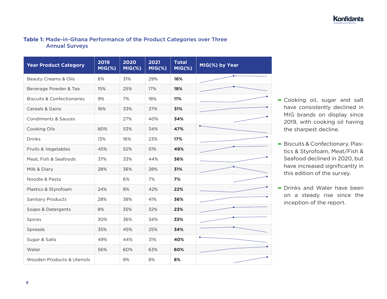#### **Table 1:** Made-in-Ghana Performance of the Product Categories over Three Annual Surveys

| <b>Year Product Category</b>          | 2019<br>$MIG(\%)$ | 2020<br>$MIG(\%)$ | 2021<br>$MIG(\%)$ | <b>Total</b><br>$MIG(\%)$ | MIG(%) by Year |
|---------------------------------------|-------------------|-------------------|-------------------|---------------------------|----------------|
| <b>Beauty Creams &amp; Oils</b>       | 6%                | 31%               | 29%               | 16%                       |                |
| Beverage Powder & Tea                 | 15%               | 25%               | 17%               | 18%                       |                |
| <b>Biscuits &amp; Confectionaries</b> | 9%                | 7%                | 18%               | 11%                       |                |
| Cereals & Gains                       | 16%               | 33%               | 37%               | 31%                       |                |
| <b>Condiments &amp; Sauces</b>        |                   | 27%               | 40%               | 34%                       |                |
| Cooking Oils                          | 80%               | 53%               | 34%               | 47%                       |                |
| <b>Drinks</b>                         | 13%               | 16%               | 23%               | 17%                       |                |
| Fruits & Vegetables                   | 45%               | 52%               | 51%               | 49%                       |                |
| Meat, Fish & Seafoods                 | 37%               | 33%               | 44%               | 36%                       |                |
| Milk & Diary                          | 28%               | 36%               | 28%               | 31%                       |                |
| Noodle & Pasta                        |                   | 6%                | 7%                | 7%                        |                |
| Plastics & Styrofoam                  | 24%               | 8%                | 42%               | 22%                       |                |
| <b>Sanitary Products</b>              | 28%               | 38%               | 41%               | 36%                       |                |
| Soaps & Detergents                    | 8%                | 35%               | 32%               | 23%                       |                |
| Spices                                | 30%               | 36%               | 34%               | 33%                       |                |
| Spreads                               | 35%               | 45%               | 25%               | 34%                       |                |
| Sugar & Salts                         | 49%               | 44%               | 31%               | 40%                       |                |
| Water                                 | 56%               | 60%               | 63%               | 60%                       |                |
| Wooden Products & Utensils            |                   | 8%                | 8%                | 8%                        |                |

- Cooking oil, sugar and salt have consistently declined in MIG brands on display since 2019, with cooking oil having the sharpest decline.
- Biscuits & Confectionary, Plastics & Styrofoam, Meat/Fish & Seafood declined in 2020, but have increased significantly in this edition of the survey.
- Drinks and Water have been on a steady rise since the inception of the report.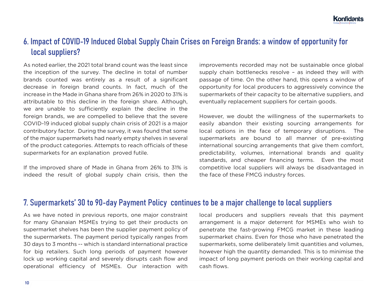# 6. Impact of COVID-19 Induced Global Supply Chain Crises on Foreign Brands: a window of opportunity for local suppliers?

As noted earlier, the 2021 total brand count was the least since the inception of the survey. The decline in total of number brands counted was entirely as a result of a significant decrease in foreign brand counts. In fact, much of the increase in the Made in Ghana share from 26% in 2020 to 31% is attributable to this decline in the foreign share. Although, we are unable to sufficiently explain the decline in the foreign brands, we are compelled to believe that the severe COVID-19 induced global supply chain crisis of 2021 is a major contributory factor. During the survey, it was found that some of the major supermarkets had nearly empty shelves in several of the product categories. Attempts to reach officials of these supermarkets for an explanation proved futile.

If the improved share of Made in Ghana from 26% to 31% is indeed the result of global supply chain crisis, then the improvements recorded may not be sustainable once global supply chain bottlenecks resolve – as indeed they will with passage of time. On the other hand, this opens a window of opportunity for local producers to aggressively convince the supermarkets of their capacity to be alternative suppliers, and eventually replacement suppliers for certain goods.

However, we doubt the willingness of the supermarkets to easily abandon their existing sourcing arrangements for local options in the face of temporary disruptions. The supermarkets are bound to all manner of pre-existing international sourcing arrangements that give them comfort, predictability, volumes, international brands and quality standards, and cheaper financing terms. Even the most competitive local suppliers will always be disadvantaged in the face of these FMCG industry forces.

## 7. Supermarkets' 30 to 90-day Payment Policy continues to be a major challenge to local suppliers

As we have noted in previous reports, one major constraint for many Ghanaian MSMEs trying to get their products on supermarket shelves has been the supplier payment policy of the supermarkets. The payment period typically ranges from 30 days to 3 months -- which is standard international practice for big retailers. Such long periods of payment however lock up working capital and severely disrupts cash flow and operational efficiency of MSMEs. Our interaction with

local producers and suppliers reveals that this payment arrangement is a major deterrent for MSMEs who wish to penetrate the fast-growing FMCG market in these leading supermarket chains. Even for those who have penetrated the supermarkets, some deliberately limit quantities and volumes, however high the quantity demanded. This is to minimise the impact of long payment periods on their working capital and cash flows.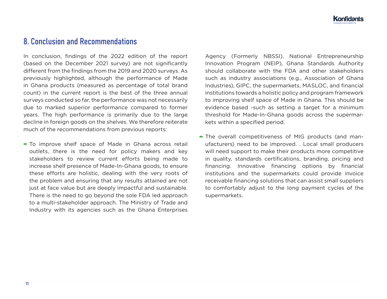### 8. Conclusion and Recommendations

In conclusion, findings of the 2022 edition of the report (based on the December 2021 survey) are not significantly different from the findings from the 2019 and 2020 surveys. As previously highlighted, although the performance of Made in Ghana products (measured as percentage of total brand count) in the current report is the best of the three annual surveys conducted so far, the performance was not necessarily due to marked superior performance compared to former years. The high performance is primarily due to the large decline in foreign goods on the shelves. We therefore reiterate much of the recommendations from previous reports:

• To improve shelf space of Made in Ghana across retail outlets, there is the need for policy makers and key stakeholders to review current efforts being made to increase shelf presence of Made-In-Ghana goods, to ensure these efforts are holistic, dealing with the very roots of the problem and ensuring that any results attained are not just at face value but are deeply impactful and sustainable. There is the need to go beyond the sole FDA led approach to a multi-stakeholder approach. The Ministry of Trade and Industry with its agencies such as the Ghana Enterprises

Agency (Formerly NBSSI), National Entrepreneurship Innovation Program (NEIP), Ghana Standards Authority should collaborate with the FDA and other stakeholders such as industry associations (e.g., Association of Ghana Industries), GIPC, the supermarkets, MASLOC, and financial institutions towards a holistic policy and program framework to improving shelf space of Made in Ghana. This should be evidence based -such as setting a target for a minimum threshold for Made-In-Ghana goods across the supermarkets within a specified period.

• The overall competitiveness of MIG products (and manufacturers) need to be improved. . Local small producers will need support to make their products more competitive in quality, standards certifications, branding, pricing and financing. Innovative financing options by financial institutions and the supermarkets could provide invoice receivable financing solutions that can assist small suppliers to comfortably adjust to the long payment cycles of the supermarkets.